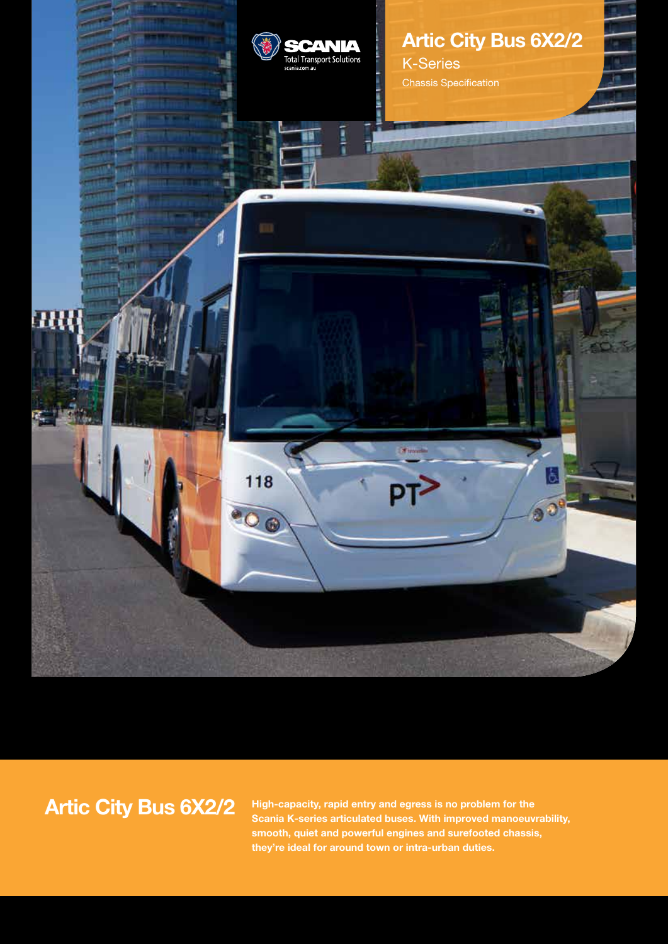

# **Artic City Bus 6X2/2**

**High-capacity, rapid entry and egress is no problem for the Scania K-series articulated buses. With improved manoeuvrability, smooth, quiet and powerful engines and surefooted chassis, they're ideal for around town or intra-urban duties.**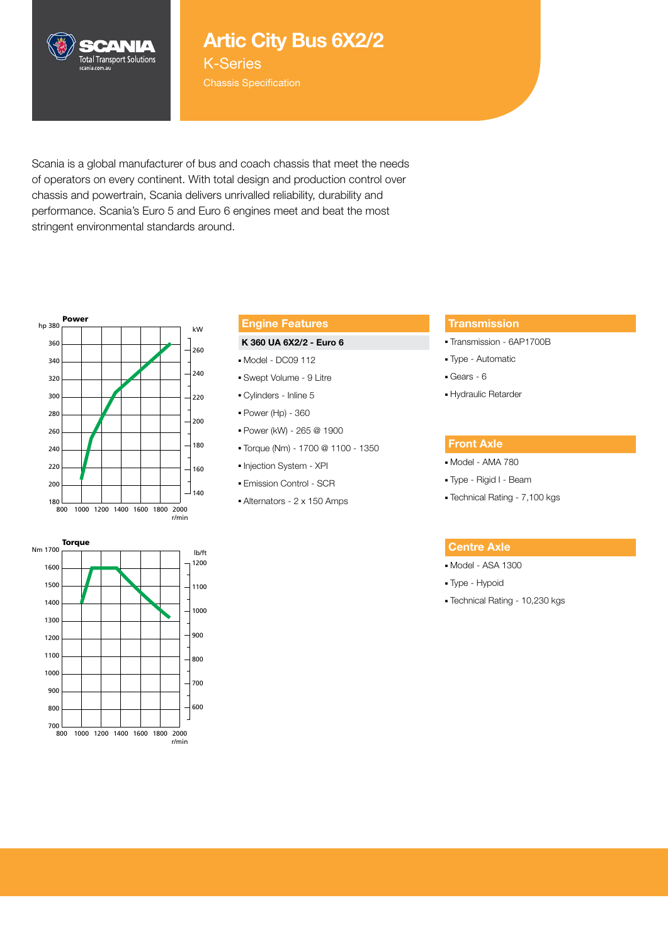

## **Artic City Bus 6X2/2**

K-Series

Scania is a global manufacturer of bus and coach chassis that meet the needs of operators on every continent. With total design and production control over chassis and powertrain, Scania delivers unrivalled reliability, durability and performance. Scania's Euro 5 and Euro 6 engines meet and beat the most stringent environmental standards around.



### **Engine Features**

#### **K 360 UA 6X2/2 - Euro 6**

- Model DC09 112
- Swept Volume 9 Litre
- Cylinders Inline 5
- Power (Hp) 360
- Power (kW) 265 @ 1900
- Torque (Nm) 1700 @ 1100 1350
- Injection System XPI
- Emission Control SCR
- Alternators 2 x 150 Amps

#### **Transmission**

- Transmission 6AP1700B
- Type Automatic
- Gears 6
- Hydraulic Retarder

#### **Front Axle**

- Model AMA 780
- Type Rigid I Beam
- Technical Rating 7,100 kgs

#### **Centre Axle**

- Model ASA 1300
- Type Hypoid
- Technical Rating 10,230 kgs

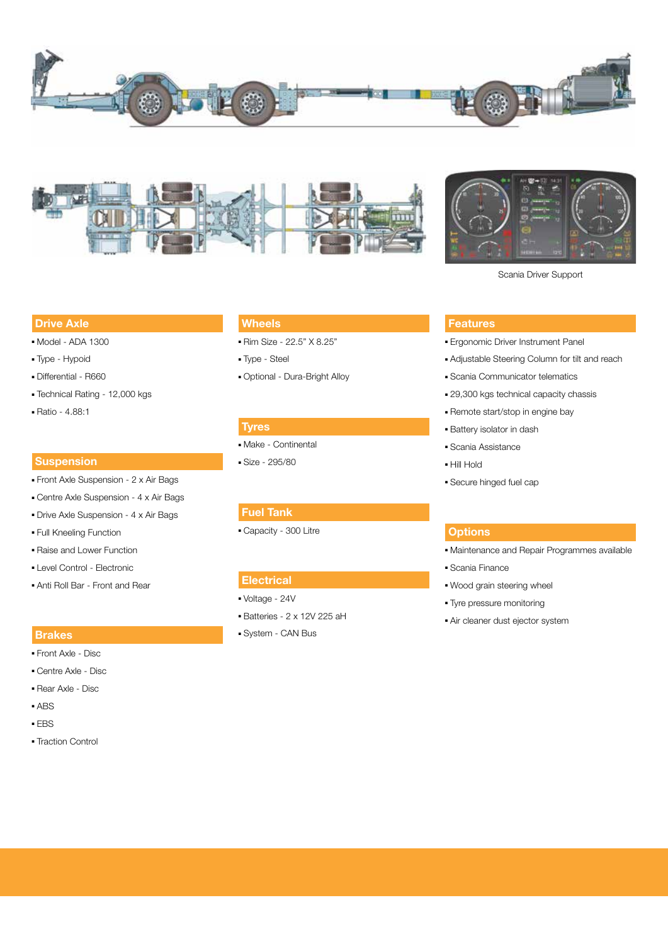





Scania Driver Support

#### **Drive Axle**

- Model ADA 1300
- Type Hypoid
- Differential R660
- Technical Rating 12,000 kgs
- Ratio 4.88:1

#### **Suspension**

- Front Axle Suspension 2 x Air Bags
- Centre Axle Suspension 4 x Air Bags
- Drive Axle Suspension 4 x Air Bags
- Full Kneeling Function
- Raise and Lower Function
- Level Control Electronic
- Anti Roll Bar Front and Rear

#### **Brakes**

- Front Axle Disc
- Centre Axle Disc
- Rear Axle Disc
- ABS
- EBS
- Traction Control

### **Wheels**

- Rim Size 22.5" X 8.25"
- Type Steel
- Optional Dura-Bright Alloy

#### **Tyres**

- Make Continental
- Size 295/80

#### **Fuel Tank**

■ Capacity - 300 Litre

#### **Electrical**

- Voltage 24V
- Batteries 2 x 12V 225 aH
- System CAN Bus

#### **Features**

- Ergonomic Driver Instrument Panel
- Adjustable Steering Column for tilt and reach
- Scania Communicator telematics
- 29,300 kgs technical capacity chassis
- Remote start/stop in engine bay
- Battery isolator in dash
- Scania Assistance
- Hill Hold
- Secure hinged fuel cap

#### **Options**

- Maintenance and Repair Programmes available
- Scania Finance
- Wood grain steering wheel
- Tyre pressure monitoring
- Air cleaner dust ejector system